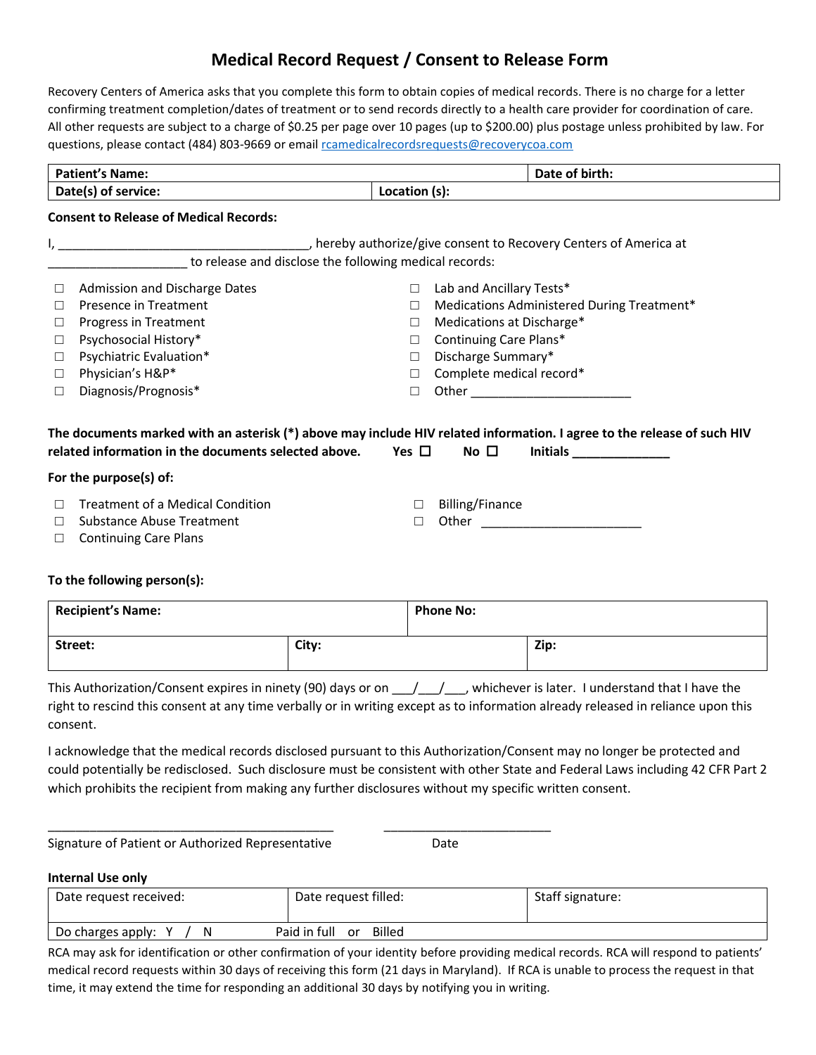## **Medical Record Request / Consent to Release Form**

Recovery Centers of America asks that you complete this form to obtain copies of medical records. There is no charge for a letter confirming treatment completion/dates of treatment or to send records directly to a health care provider for coordination of care. All other requests are subject to a charge of \$0.25 per page over 10 pages (up to \$200.00) plus postage unless prohibited by law. For questions, please contact (484) 803-9669 or email [rcamedicalrecordsrequests@recoverycoa.com](mailto:rcamedicalrecordsrequests@recoverycoa.com)

|                     | <b>Patient's Name:</b>                                 |            | Date of birth:                                                                                                                                                    |  |  |
|---------------------|--------------------------------------------------------|------------|-------------------------------------------------------------------------------------------------------------------------------------------------------------------|--|--|
| Date(s) of service: |                                                        |            | Location (s):                                                                                                                                                     |  |  |
|                     | <b>Consent to Release of Medical Records:</b>          |            |                                                                                                                                                                   |  |  |
|                     |                                                        |            |                                                                                                                                                                   |  |  |
|                     | to release and disclose the following medical records: |            |                                                                                                                                                                   |  |  |
|                     | Admission and Discharge Dates                          | $\Box$     | Lab and Ancillary Tests*                                                                                                                                          |  |  |
| П                   | Presence in Treatment                                  | $\Box$     | Medications Administered During Treatment*                                                                                                                        |  |  |
| □                   | Progress in Treatment                                  | $\Box$     | Medications at Discharge*                                                                                                                                         |  |  |
| $\Box$              | Psychosocial History*                                  | $\Box$     | Continuing Care Plans*                                                                                                                                            |  |  |
| $\Box$              | Psychiatric Evaluation*                                | $\Box$     | Discharge Summary*                                                                                                                                                |  |  |
| □                   | Physician's H&P*                                       | $\Box$     | Complete medical record*                                                                                                                                          |  |  |
|                     |                                                        |            |                                                                                                                                                                   |  |  |
| $\Box$              | Diagnosis/Prognosis*                                   | $\Box$     |                                                                                                                                                                   |  |  |
|                     | related information in the documents selected above.   | Yes $\Box$ | The documents marked with an asterisk (*) above may include HIV related information. I agree to the release of such HIV<br>No $\square$<br>Initials $\frac{1}{2}$ |  |  |
|                     | For the purpose(s) of:                                 |            |                                                                                                                                                                   |  |  |
|                     | <b>Treatment of a Medical Condition</b>                | $\Box$     | Billing/Finance                                                                                                                                                   |  |  |
|                     | Substance Abuse Treatment                              | $\Box$     |                                                                                                                                                                   |  |  |

## **Recipient's Name: Phone No: Phone No:**  $\vert$  City:  $\vert$  Zip:

This Authorization/Consent expires in ninety (90) days or on  $\frac{1}{2}$ , whichever is later. I understand that I have the right to rescind this consent at any time verbally or in writing except as to information already released in reliance upon this consent.

I acknowledge that the medical records disclosed pursuant to this Authorization/Consent may no longer be protected and could potentially be redisclosed. Such disclosure must be consistent with other State and Federal Laws including 42 CFR Part 2 which prohibits the recipient from making any further disclosures without my specific written consent.

Signature of Patient or Authorized Representative Date

\_\_\_\_\_\_\_\_\_\_\_\_\_\_\_\_\_\_\_\_\_\_\_\_\_\_\_\_\_\_\_\_\_\_\_\_\_\_\_\_\_ \_\_\_\_\_\_\_\_\_\_\_\_\_\_\_\_\_\_\_\_\_\_\_\_

## **Internal Use only**

| Date request received: | Date request filled:         | Staff signature: |
|------------------------|------------------------------|------------------|
| Do charges apply:<br>N | Billed<br>Paid in full<br>or |                  |

RCA may ask for identification or other confirmation of your identity before providing medical records. RCA will respond to patients' medical record requests within 30 days of receiving this form (21 days in Maryland). If RCA is unable to process the request in that time, it may extend the time for responding an additional 30 days by notifying you in writing.